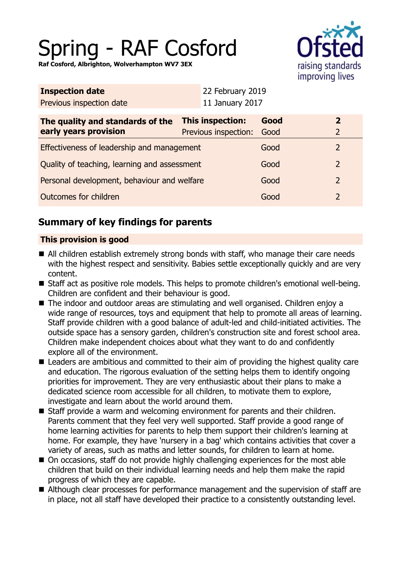# Spring - RAF Cosford

**Raf Cosford, Albrighton, Wolverhampton WV7 3EX**



| <b>Inspection date</b>   | 22 February 2019  |
|--------------------------|-------------------|
| Previous inspection date | $11$ January 2017 |

| The quality and standards of the             | This inspection:     | Good |  |
|----------------------------------------------|----------------------|------|--|
| early years provision                        | Previous inspection: | Good |  |
| Effectiveness of leadership and management   |                      | Good |  |
| Quality of teaching, learning and assessment |                      | Good |  |
| Personal development, behaviour and welfare  |                      | Good |  |
| Outcomes for children                        |                      | Good |  |

## **Summary of key findings for parents**

## **This provision is good**

- All children establish extremely strong bonds with staff, who manage their care needs with the highest respect and sensitivity. Babies settle exceptionally quickly and are very content.
- Staff act as positive role models. This helps to promote children's emotional well-being. Children are confident and their behaviour is good.
- The indoor and outdoor areas are stimulating and well organised. Children enjoy a wide range of resources, toys and equipment that help to promote all areas of learning. Staff provide children with a good balance of adult-led and child-initiated activities. The outside space has a sensory garden, children's construction site and forest school area. Children make independent choices about what they want to do and confidently explore all of the environment.
- Leaders are ambitious and committed to their aim of providing the highest quality care and education. The rigorous evaluation of the setting helps them to identify ongoing priorities for improvement. They are very enthusiastic about their plans to make a dedicated science room accessible for all children, to motivate them to explore, investigate and learn about the world around them.
- Staff provide a warm and welcoming environment for parents and their children. Parents comment that they feel very well supported. Staff provide a good range of home learning activities for parents to help them support their children's learning at home. For example, they have 'nursery in a bag' which contains activities that cover a variety of areas, such as maths and letter sounds, for children to learn at home.
- On occasions, staff do not provide highly challenging experiences for the most able children that build on their individual learning needs and help them make the rapid progress of which they are capable.
- Although clear processes for performance management and the supervision of staff are in place, not all staff have developed their practice to a consistently outstanding level.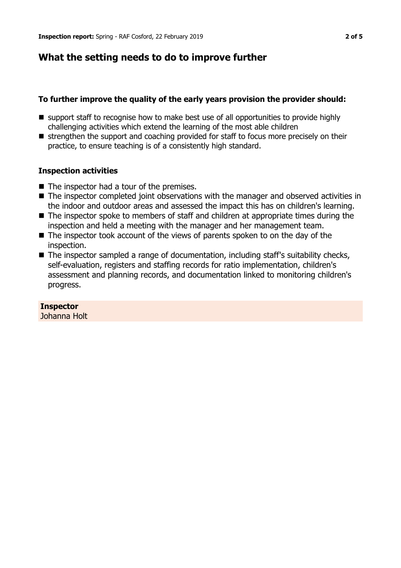## **What the setting needs to do to improve further**

### **To further improve the quality of the early years provision the provider should:**

- support staff to recognise how to make best use of all opportunities to provide highly challenging activities which extend the learning of the most able children
- strengthen the support and coaching provided for staff to focus more precisely on their practice, to ensure teaching is of a consistently high standard.

### **Inspection activities**

- $\blacksquare$  The inspector had a tour of the premises.
- The inspector completed joint observations with the manager and observed activities in the indoor and outdoor areas and assessed the impact this has on children's learning.
- $\blacksquare$  The inspector spoke to members of staff and children at appropriate times during the inspection and held a meeting with the manager and her management team.
- $\blacksquare$  The inspector took account of the views of parents spoken to on the day of the inspection.
- The inspector sampled a range of documentation, including staff's suitability checks, self-evaluation, registers and staffing records for ratio implementation, children's assessment and planning records, and documentation linked to monitoring children's progress.

## **Inspector**

Johanna Holt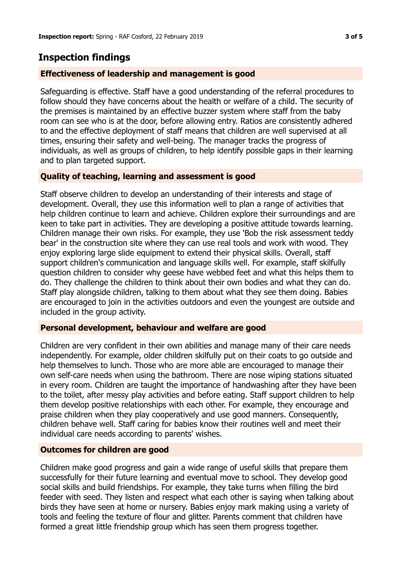## **Inspection findings**

#### **Effectiveness of leadership and management is good**

Safeguarding is effective. Staff have a good understanding of the referral procedures to follow should they have concerns about the health or welfare of a child. The security of the premises is maintained by an effective buzzer system where staff from the baby room can see who is at the door, before allowing entry. Ratios are consistently adhered to and the effective deployment of staff means that children are well supervised at all times, ensuring their safety and well-being. The manager tracks the progress of individuals, as well as groups of children, to help identify possible gaps in their learning and to plan targeted support.

#### **Quality of teaching, learning and assessment is good**

Staff observe children to develop an understanding of their interests and stage of development. Overall, they use this information well to plan a range of activities that help children continue to learn and achieve. Children explore their surroundings and are keen to take part in activities. They are developing a positive attitude towards learning. Children manage their own risks. For example, they use 'Bob the risk assessment teddy bear' in the construction site where they can use real tools and work with wood. They enjoy exploring large slide equipment to extend their physical skills. Overall, staff support children's communication and language skills well. For example, staff skilfully question children to consider why geese have webbed feet and what this helps them to do. They challenge the children to think about their own bodies and what they can do. Staff play alongside children, talking to them about what they see them doing. Babies are encouraged to join in the activities outdoors and even the youngest are outside and included in the group activity.

#### **Personal development, behaviour and welfare are good**

Children are very confident in their own abilities and manage many of their care needs independently. For example, older children skilfully put on their coats to go outside and help themselves to lunch. Those who are more able are encouraged to manage their own self-care needs when using the bathroom. There are nose wiping stations situated in every room. Children are taught the importance of handwashing after they have been to the toilet, after messy play activities and before eating. Staff support children to help them develop positive relationships with each other. For example, they encourage and praise children when they play cooperatively and use good manners. Consequently, children behave well. Staff caring for babies know their routines well and meet their individual care needs according to parents' wishes.

#### **Outcomes for children are good**

Children make good progress and gain a wide range of useful skills that prepare them successfully for their future learning and eventual move to school. They develop good social skills and build friendships. For example, they take turns when filling the bird feeder with seed. They listen and respect what each other is saying when talking about birds they have seen at home or nursery. Babies enjoy mark making using a variety of tools and feeling the texture of flour and glitter. Parents comment that children have formed a great little friendship group which has seen them progress together.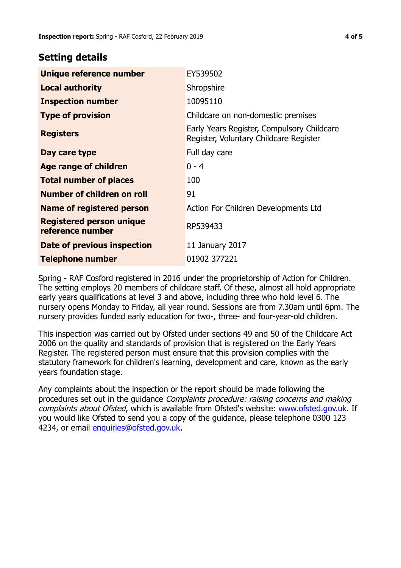## **Setting details**

| Unique reference number                             | EY539502                                                                             |
|-----------------------------------------------------|--------------------------------------------------------------------------------------|
| <b>Local authority</b>                              | Shropshire                                                                           |
| <b>Inspection number</b>                            | 10095110                                                                             |
| <b>Type of provision</b>                            | Childcare on non-domestic premises                                                   |
| <b>Registers</b>                                    | Early Years Register, Compulsory Childcare<br>Register, Voluntary Childcare Register |
| Day care type                                       | Full day care                                                                        |
| <b>Age range of children</b>                        | $0 - 4$                                                                              |
| <b>Total number of places</b>                       | 100                                                                                  |
| Number of children on roll                          | 91                                                                                   |
| Name of registered person                           | Action For Children Developments Ltd                                                 |
| <b>Registered person unique</b><br>reference number | RP539433                                                                             |
| <b>Date of previous inspection</b>                  | 11 January 2017                                                                      |
| <b>Telephone number</b>                             | 01902 377221                                                                         |

Spring - RAF Cosford registered in 2016 under the proprietorship of Action for Children. The setting employs 20 members of childcare staff. Of these, almost all hold appropriate early years qualifications at level 3 and above, including three who hold level 6. The nursery opens Monday to Friday, all year round. Sessions are from 7.30am until 6pm. The nursery provides funded early education for two-, three- and four-year-old children.

This inspection was carried out by Ofsted under sections 49 and 50 of the Childcare Act 2006 on the quality and standards of provision that is registered on the Early Years Register. The registered person must ensure that this provision complies with the statutory framework for children's learning, development and care, known as the early years foundation stage.

Any complaints about the inspection or the report should be made following the procedures set out in the guidance Complaints procedure: raising concerns and making complaints about Ofsted, which is available from Ofsted's website: www.ofsted.gov.uk. If you would like Ofsted to send you a copy of the guidance, please telephone 0300 123 4234, or email [enquiries@ofsted.gov.uk.](mailto:enquiries@ofsted.gov.uk)